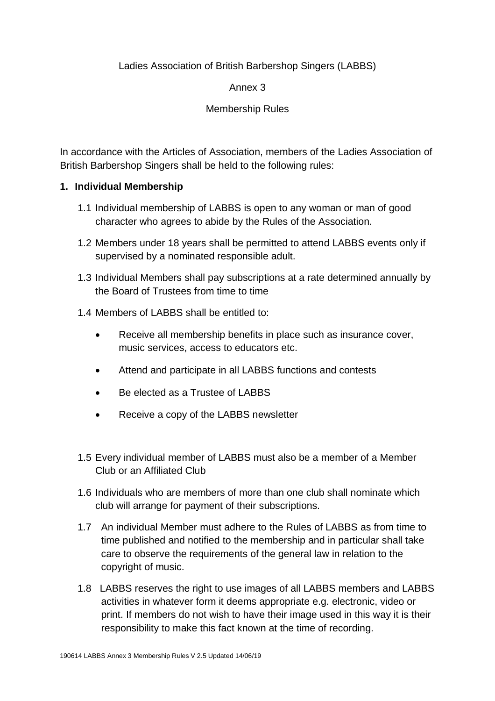# Ladies Association of British Barbershop Singers (LABBS)

#### Annex 3

#### Membership Rules

In accordance with the Articles of Association, members of the Ladies Association of British Barbershop Singers shall be held to the following rules:

#### **1. Individual Membership**

- 1.1 Individual membership of LABBS is open to any woman or man of good character who agrees to abide by the Rules of the Association.
- 1.2 Members under 18 years shall be permitted to attend LABBS events only if supervised by a nominated responsible adult.
- 1.3 Individual Members shall pay subscriptions at a rate determined annually by the Board of Trustees from time to time
- 1.4 Members of LABBS shall be entitled to:
	- Receive all membership benefits in place such as insurance cover, music services, access to educators etc.
	- Attend and participate in all LABBS functions and contests
	- Be elected as a Trustee of LABBS
	- Receive a copy of the LABBS newsletter
- 1.5 Every individual member of LABBS must also be a member of a Member Club or an Affiliated Club
- 1.6 Individuals who are members of more than one club shall nominate which club will arrange for payment of their subscriptions.
- 1.7 An individual Member must adhere to the Rules of LABBS as from time to time published and notified to the membership and in particular shall take care to observe the requirements of the general law in relation to the copyright of music.
- 1.8 LABBS reserves the right to use images of all LABBS members and LABBS activities in whatever form it deems appropriate e.g. electronic, video or print. If members do not wish to have their image used in this way it is their responsibility to make this fact known at the time of recording.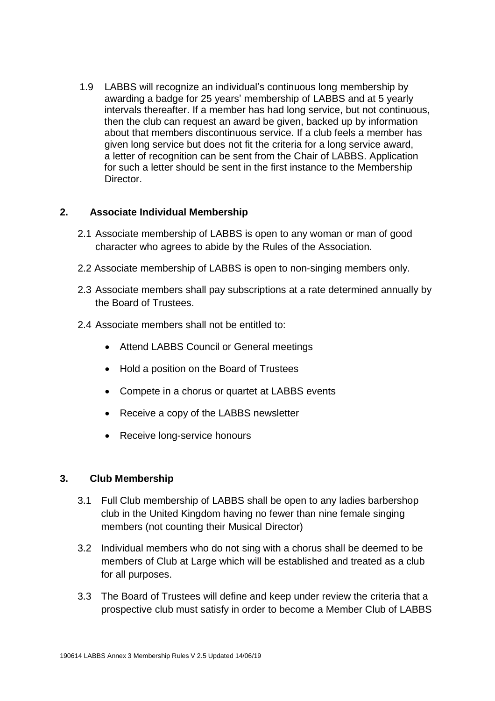1.9 LABBS will recognize an individual's continuous long membership by awarding a badge for 25 years' membership of LABBS and at 5 yearly intervals thereafter. If a member has had long service, but not continuous, then the club can request an award be given, backed up by information about that members discontinuous service. If a club feels a member has given long service but does not fit the criteria for a long service award, a letter of recognition can be sent from the Chair of LABBS. Application for such a letter should be sent in the first instance to the Membership Director.

#### **2. Associate Individual Membership**

- 2.1 Associate membership of LABBS is open to any woman or man of good character who agrees to abide by the Rules of the Association.
- 2.2 Associate membership of LABBS is open to non-singing members only.
- 2.3 Associate members shall pay subscriptions at a rate determined annually by the Board of Trustees.
- 2.4 Associate members shall not be entitled to:
	- Attend LABBS Council or General meetings
	- Hold a position on the Board of Trustees
	- Compete in a chorus or quartet at LABBS events
	- Receive a copy of the LABBS newsletter
	- Receive long-service honours

# **3. Club Membership**

- 3.1 Full Club membership of LABBS shall be open to any ladies barbershop club in the United Kingdom having no fewer than nine female singing members (not counting their Musical Director)
- 3.2 Individual members who do not sing with a chorus shall be deemed to be members of Club at Large which will be established and treated as a club for all purposes.
- 3.3 The Board of Trustees will define and keep under review the criteria that a prospective club must satisfy in order to become a Member Club of LABBS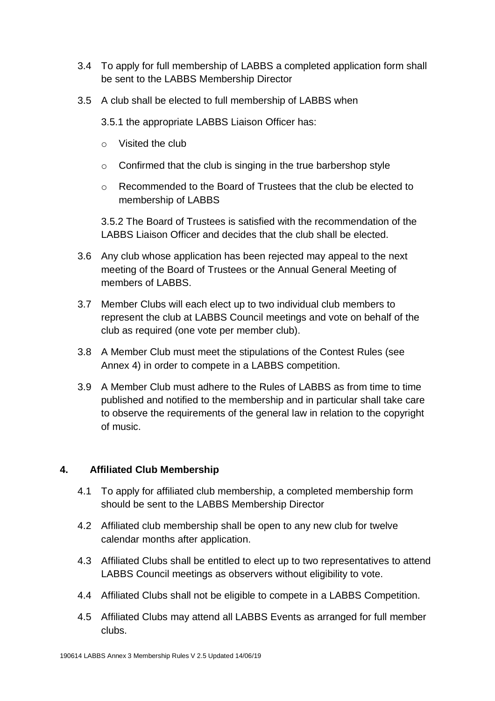- 3.4 To apply for full membership of LABBS a completed application form shall be sent to the LABBS Membership Director
- 3.5 A club shall be elected to full membership of LABBS when

3.5.1 the appropriate LABBS Liaison Officer has:

- o Visited the club
- o Confirmed that the club is singing in the true barbershop style
- o Recommended to the Board of Trustees that the club be elected to membership of LABBS

3.5.2 The Board of Trustees is satisfied with the recommendation of the LABBS Liaison Officer and decides that the club shall be elected.

- 3.6 Any club whose application has been rejected may appeal to the next meeting of the Board of Trustees or the Annual General Meeting of members of LABBS.
- 3.7 Member Clubs will each elect up to two individual club members to represent the club at LABBS Council meetings and vote on behalf of the club as required (one vote per member club).
- 3.8 A Member Club must meet the stipulations of the Contest Rules (see Annex 4) in order to compete in a LABBS competition.
- 3.9 A Member Club must adhere to the Rules of LABBS as from time to time published and notified to the membership and in particular shall take care to observe the requirements of the general law in relation to the copyright of music.

# **4. Affiliated Club Membership**

- 4.1 To apply for affiliated club membership, a completed membership form should be sent to the LABBS Membership Director
- 4.2 Affiliated club membership shall be open to any new club for twelve calendar months after application.
- 4.3 Affiliated Clubs shall be entitled to elect up to two representatives to attend LABBS Council meetings as observers without eligibility to vote.
- 4.4 Affiliated Clubs shall not be eligible to compete in a LABBS Competition.
- 4.5 Affiliated Clubs may attend all LABBS Events as arranged for full member clubs.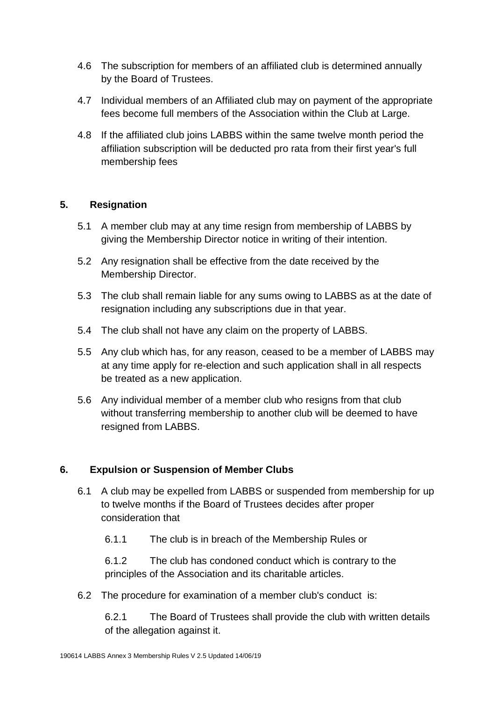- 4.6 The subscription for members of an affiliated club is determined annually by the Board of Trustees.
- 4.7 Individual members of an Affiliated club may on payment of the appropriate fees become full members of the Association within the Club at Large.
- 4.8 If the affiliated club joins LABBS within the same twelve month period the affiliation subscription will be deducted pro rata from their first year's full membership fees

# **5. Resignation**

- 5.1 A member club may at any time resign from membership of LABBS by giving the Membership Director notice in writing of their intention.
- 5.2 Any resignation shall be effective from the date received by the Membership Director.
- 5.3 The club shall remain liable for any sums owing to LABBS as at the date of resignation including any subscriptions due in that year.
- 5.4 The club shall not have any claim on the property of LABBS.
- 5.5 Any club which has, for any reason, ceased to be a member of LABBS may at any time apply for re-election and such application shall in all respects be treated as a new application.
- 5.6 Any individual member of a member club who resigns from that club without transferring membership to another club will be deemed to have resigned from LABBS.

# **6. Expulsion or Suspension of Member Clubs**

- 6.1 A club may be expelled from LABBS or suspended from membership for up to twelve months if the Board of Trustees decides after proper consideration that
	- 6.1.1 The club is in breach of the Membership Rules or

6.1.2 The club has condoned conduct which is contrary to the principles of the Association and its charitable articles.

6.2 The procedure for examination of a member club's conduct is:

6.2.1 The Board of Trustees shall provide the club with written details of the allegation against it.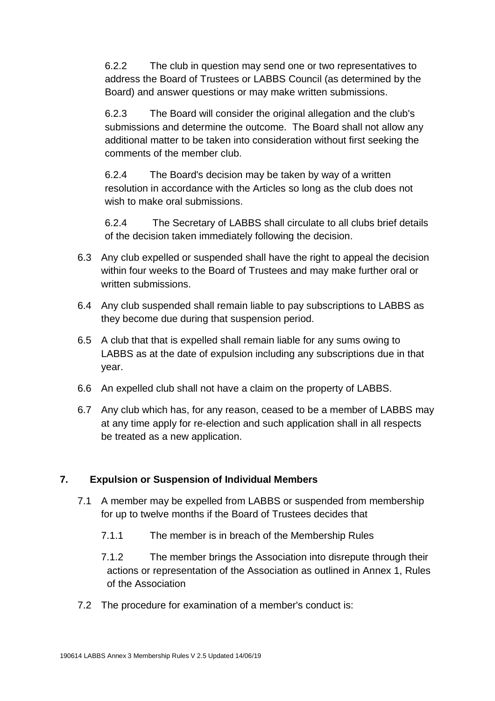6.2.2 The club in question may send one or two representatives to address the Board of Trustees or LABBS Council (as determined by the Board) and answer questions or may make written submissions.

6.2.3 The Board will consider the original allegation and the club's submissions and determine the outcome. The Board shall not allow any additional matter to be taken into consideration without first seeking the comments of the member club.

6.2.4 The Board's decision may be taken by way of a written resolution in accordance with the Articles so long as the club does not wish to make oral submissions.

6.2.4 The Secretary of LABBS shall circulate to all clubs brief details of the decision taken immediately following the decision.

- 6.3 Any club expelled or suspended shall have the right to appeal the decision within four weeks to the Board of Trustees and may make further oral or written submissions.
- 6.4 Any club suspended shall remain liable to pay subscriptions to LABBS as they become due during that suspension period.
- 6.5 A club that that is expelled shall remain liable for any sums owing to LABBS as at the date of expulsion including any subscriptions due in that year.
- 6.6 An expelled club shall not have a claim on the property of LABBS.
- 6.7 Any club which has, for any reason, ceased to be a member of LABBS may at any time apply for re-election and such application shall in all respects be treated as a new application.

# **7. Expulsion or Suspension of Individual Members**

- 7.1 A member may be expelled from LABBS or suspended from membership for up to twelve months if the Board of Trustees decides that
	- 7.1.1 The member is in breach of the Membership Rules

7.1.2 The member brings the Association into disrepute through their actions or representation of the Association as outlined in Annex 1, Rules of the Association

7.2 The procedure for examination of a member's conduct is: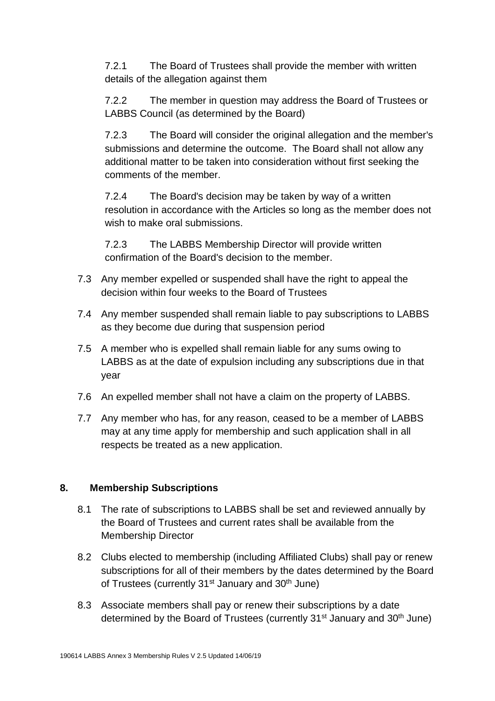7.2.1 The Board of Trustees shall provide the member with written details of the allegation against them

7.2.2 The member in question may address the Board of Trustees or LABBS Council (as determined by the Board)

7.2.3 The Board will consider the original allegation and the member's submissions and determine the outcome. The Board shall not allow any additional matter to be taken into consideration without first seeking the comments of the member.

7.2.4 The Board's decision may be taken by way of a written resolution in accordance with the Articles so long as the member does not wish to make oral submissions.

7.2.3 The LABBS Membership Director will provide written confirmation of the Board's decision to the member.

- 7.3 Any member expelled or suspended shall have the right to appeal the decision within four weeks to the Board of Trustees
- 7.4 Any member suspended shall remain liable to pay subscriptions to LABBS as they become due during that suspension period
- 7.5 A member who is expelled shall remain liable for any sums owing to LABBS as at the date of expulsion including any subscriptions due in that year
- 7.6 An expelled member shall not have a claim on the property of LABBS.
- 7.7 Any member who has, for any reason, ceased to be a member of LABBS may at any time apply for membership and such application shall in all respects be treated as a new application.

# **8. Membership Subscriptions**

- 8.1 The rate of subscriptions to LABBS shall be set and reviewed annually by the Board of Trustees and current rates shall be available from the Membership Director
- 8.2 Clubs elected to membership (including Affiliated Clubs) shall pay or renew subscriptions for all of their members by the dates determined by the Board of Trustees (currently 31<sup>st</sup> January and 30<sup>th</sup> June)
- 8.3 Associate members shall pay or renew their subscriptions by a date determined by the Board of Trustees (currently 31<sup>st</sup> January and 30<sup>th</sup> June)